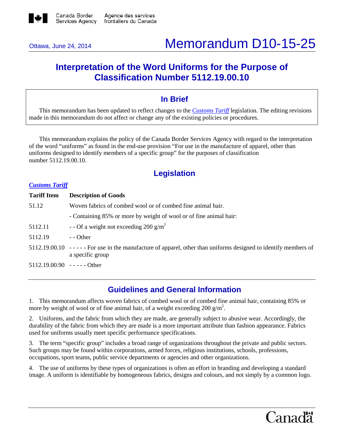

# Ottawa, June 24, 2014 Memorandum D10-15-25

# **Interpretation of the Word Uniforms for the Purpose of Classification Number 5112.19.00.10**

### **In Brief**

This memorandum has been updated to reflect changes to the *[Customs Tariff](http://www.cbsa-asfc.gc.ca/trade-commerce/tariff-tarif/menu-eng.html)* legislation. The editing revisions made in this memorandum do not affect or change any of the existing policies or procedures.

This memorandum explains the policy of the Canada Border Services Agency with regard to the interpretation of the word "uniforms" as found in the end-use provision "For use in the manufacture of apparel, other than uniforms designed to identify members of a specific group" for the purposes of classification number 5112.19.00.10.

## **Legislation**

#### *[Customs Tariff](http://www.cbsa-asfc.gc.ca/trade-commerce/tariff-tarif/menu-eng.html)*

| <b>Tariff Item</b>              | <b>Description of Goods</b>                                                                                                          |  |
|---------------------------------|--------------------------------------------------------------------------------------------------------------------------------------|--|
| 51.12                           | Woven fabrics of combed wool or of combed fine animal hair.                                                                          |  |
|                                 | - Containing 85% or more by weight of wool or of fine animal hair:                                                                   |  |
| 5112.11                         | - - Of a weight not exceeding 200 g/m <sup>2</sup>                                                                                   |  |
| 5112.19                         | $-$ - Other                                                                                                                          |  |
|                                 | $5112.19.00.10$ ----- For use in the manufacture of apparel, other than uniforms designed to identify members of<br>a specific group |  |
| $5112.19.00.90$ - - - - - Other |                                                                                                                                      |  |

### **Guidelines and General Information**

1. This memorandum affects woven fabrics of combed wool or of combed fine animal hair, containing 85% or more by weight of wool or of fine animal hair, of a weight exceeding 200  $\frac{g}{m^2}$ .

2. Uniforms, and the fabric from which they are made, are generally subject to abusive wear. Accordingly, the durability of the fabric from which they are made is a more important attribute than fashion appearance. Fabrics used for uniforms usually meet specific performance specifications.

3. The term "specific group" includes a broad range of organizations throughout the private and public sectors. Such groups may be found within corporations, armed forces, religious institutions, schools, professions, occupations, sport teams, public service departments or agencies and other organizations.

4. The use of uniforms by these types of organizations is often an effort in branding and developing a standard image. A uniform is identifiable by homogeneous fabrics, designs and colours, and not simply by a common logo.

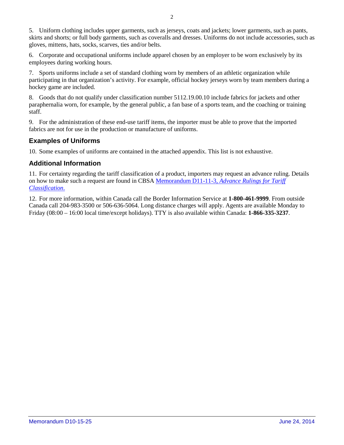5. Uniform clothing includes upper garments, such as jerseys, coats and jackets; lower garments, such as pants, skirts and shorts; or full body garments, such as coveralls and dresses. Uniforms do not include accessories, such as gloves, mittens, hats, socks, scarves, ties and/or belts.

6. Corporate and occupational uniforms include apparel chosen by an employer to be worn exclusively by its employees during working hours.

7. Sports uniforms include a set of standard clothing worn by members of an athletic organization while participating in that organization's activity. For example, official hockey jerseys worn by team members during a hockey game are included.

8. Goods that do not qualify under classification number 5112.19.00.10 include fabrics for jackets and other paraphernalia worn, for example, by the general public, a fan base of a sports team, and the coaching or training staff.

9. For the administration of these end-use tariff items, the importer must be able to prove that the imported fabrics are not for use in the production or manufacture of uniforms.

#### **Examples of Uniforms**

10. Some examples of uniforms are contained in the attached appendix. This list is not exhaustive.

#### **Additional Information**

11. For certainty regarding the tariff classification of a product, importers may request an advance ruling. Details on how to make such a request are found in CBSA Memorandum D11-11-3, *[Advance Rulings for Tariff](http://www.cbsa-asfc.gc.ca/publications/dm-md/d11/d11-11-3-eng.html)  [Classification](http://www.cbsa-asfc.gc.ca/publications/dm-md/d11/d11-11-3-eng.html)*.

12. For more information, within Canada call the Border Information Service at **1-800-461-9999**. From outside Canada call 204-983-3500 or 506-636-5064. Long distance charges will apply. Agents are available Monday to Friday (08:00 – 16:00 local time/except holidays). TTY is also available within Canada: **1-866-335-3237**.